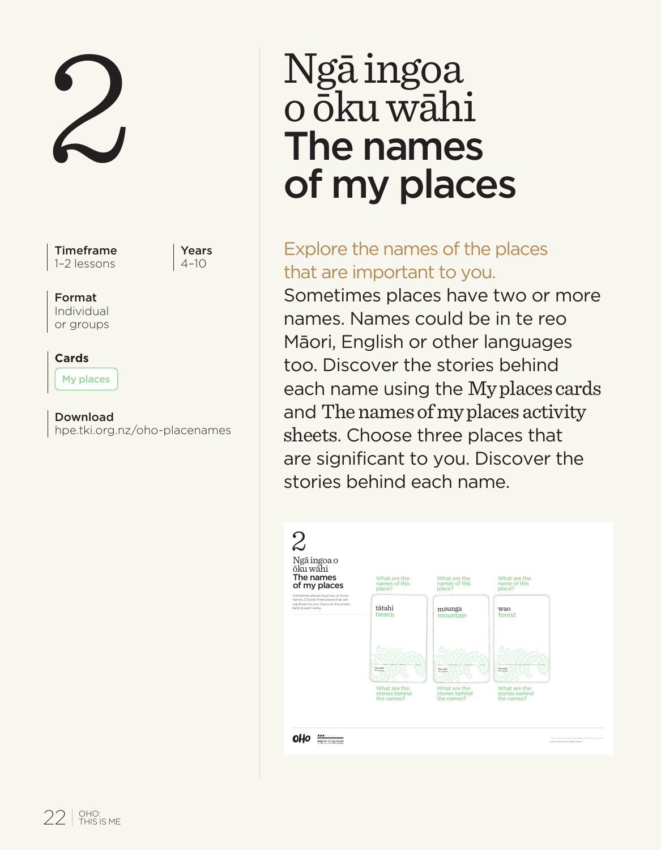2

Timeframe 1–2 lessons

Years  $4 - 10$ 

#### Format

Individual or groups

### **Cards**

My places

Download hpe.tki.org.nz/oho-placenames

# Ngā ingoa o ōku wāhi The names of my places

## Explore the names of the places that are important to you.

Sometimes places have two or more names. Names could be in te reo Māori, English or other languages too. Discover the stories behind each name using the My places cards and The names of my places activity sheets. Choose three places that are significant to you. Discover the stories behind each name.

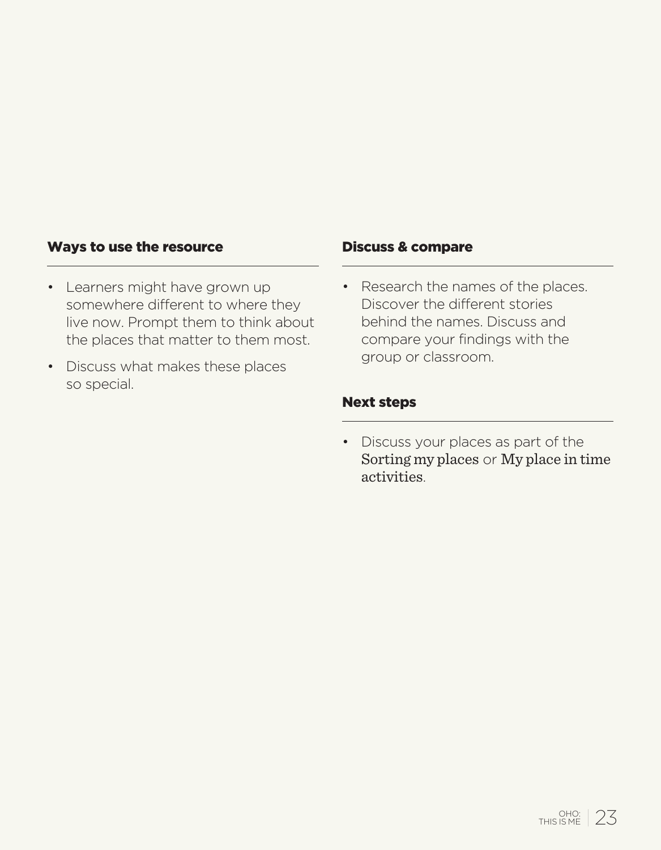#### Ways to use the resource

- Learners might have grown up somewhere different to where they live now. Prompt them to think about the places that matter to them most.
- Discuss what makes these places so special.

#### Discuss & compare

• Research the names of the places. Discover the different stories behind the names. Discuss and compare your findings with the group or classroom.

#### Next steps

• Discuss your places as part of the Sorting my places or My place in time activities.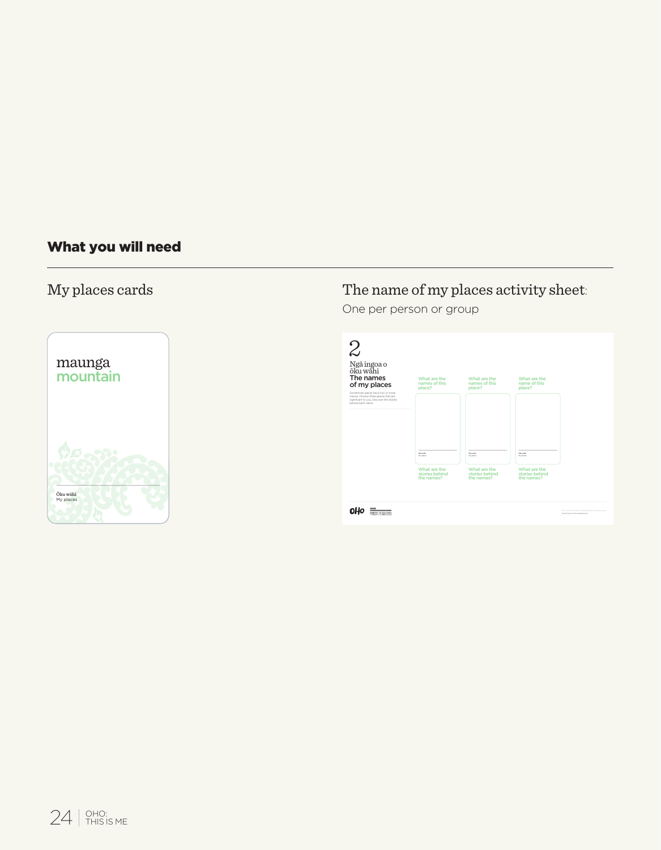#### What you will need



#### My places cards The name of my places activity sheet:

One per person or group

| Ngã ingoa o<br>ōku wāhi<br>The names<br>of my places                                                                                    | What are the<br>names of this                | What are the<br>names of this                | What are the<br>name of this                 |  |
|-----------------------------------------------------------------------------------------------------------------------------------------|----------------------------------------------|----------------------------------------------|----------------------------------------------|--|
| Sometimes places have bed or more<br>names. Choose three places that are<br>sonficent to you. Discover the stories<br>behind each name. | place?                                       | place?                                       | place?                                       |  |
|                                                                                                                                         |                                              |                                              |                                              |  |
|                                                                                                                                         | <b>Support</b>                               | <b>Docume</b>                                | <b>Document</b>                              |  |
|                                                                                                                                         | $-200$                                       | $\sim$                                       | <b>COLLECTION</b>                            |  |
|                                                                                                                                         | What are the<br>stories behind<br>the names? | What are the<br>stories behind<br>the names? | What are the<br>stories behind<br>the names? |  |
|                                                                                                                                         |                                              |                                              |                                              |  |